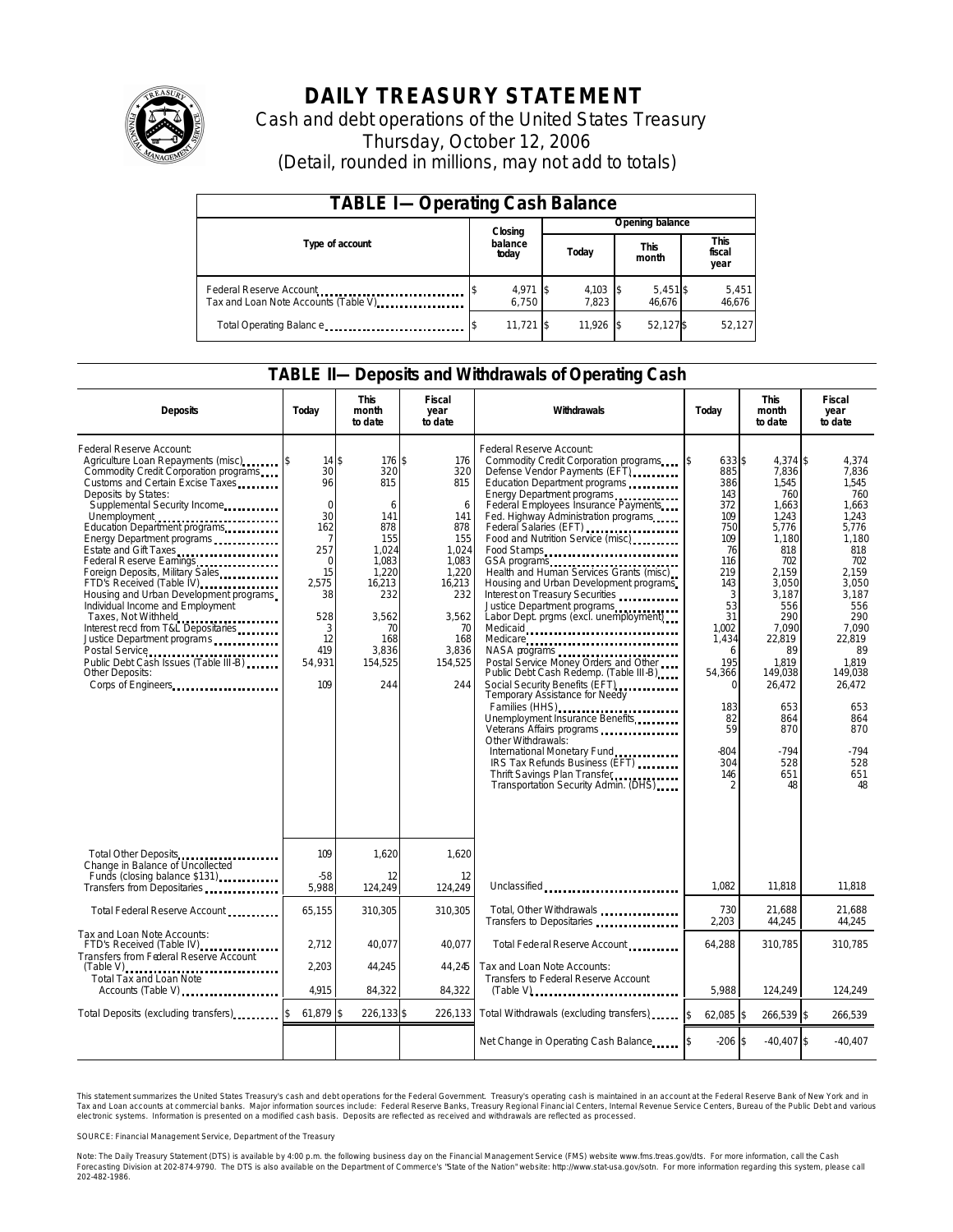

# **DAILY TREASURY STATEMENT**

Cash and debt operations of the United States Treasury Thursday, October 12, 2006 (Detail, rounded in millions, may not add to totals)

| <b>TABLE I-Operating Cash Balance</b>                            |  |                             |  |                 |  |                      |  |                               |  |  |
|------------------------------------------------------------------|--|-----------------------------|--|-----------------|--|----------------------|--|-------------------------------|--|--|
|                                                                  |  | Closing<br>balance<br>today |  | Opening balance |  |                      |  |                               |  |  |
| Type of account                                                  |  |                             |  | Today           |  | <b>This</b><br>month |  | <b>This</b><br>fiscal<br>year |  |  |
| Federal Reserve Account<br>Tax and Loan Note Accounts (Table V). |  | 4,971 \$<br>6.750           |  | 4,103<br>7.823  |  | 5,451\$<br>46.676    |  | 5,451<br>46,676               |  |  |
| Total Operating Balance                                          |  | $11,721$ \$                 |  | 11.926          |  | 52.127\$             |  | 52.127                        |  |  |

#### **TABLE II—Deposits and Withdrawals of Operating Cash**

| <b>Deposits</b>                                                                                                                                                                                                                                                                                                                                                                                                                                                                                                                                                                                                                                                          | Today                                                                                                                                         | <b>This</b><br>month<br>to date                                                                                                             | Fiscal<br>year<br>to date                                                                                                                | Withdrawals                                                                                                                                                                                                                                                                                                                                                                                                                                                                                                                                                                                                                                                                                                                                                                                                                                                                                                                                                                                             | Today                                                                                                                                                                                                    | <b>This</b><br>month<br>to date                                                                                                                                                                                                        | <b>Fiscal</b><br>year<br>to date                                                                                                                                                                                                    |
|--------------------------------------------------------------------------------------------------------------------------------------------------------------------------------------------------------------------------------------------------------------------------------------------------------------------------------------------------------------------------------------------------------------------------------------------------------------------------------------------------------------------------------------------------------------------------------------------------------------------------------------------------------------------------|-----------------------------------------------------------------------------------------------------------------------------------------------|---------------------------------------------------------------------------------------------------------------------------------------------|------------------------------------------------------------------------------------------------------------------------------------------|---------------------------------------------------------------------------------------------------------------------------------------------------------------------------------------------------------------------------------------------------------------------------------------------------------------------------------------------------------------------------------------------------------------------------------------------------------------------------------------------------------------------------------------------------------------------------------------------------------------------------------------------------------------------------------------------------------------------------------------------------------------------------------------------------------------------------------------------------------------------------------------------------------------------------------------------------------------------------------------------------------|----------------------------------------------------------------------------------------------------------------------------------------------------------------------------------------------------------|----------------------------------------------------------------------------------------------------------------------------------------------------------------------------------------------------------------------------------------|-------------------------------------------------------------------------------------------------------------------------------------------------------------------------------------------------------------------------------------|
| Federal Reserve Account:<br>Agriculture Loan Repayments (misc)<br>Commodity Credit Corporation programs<br>Customs and Certain Excise Taxes<br>Deposits by States:<br>Supplemental Security Income<br>Unemployment<br>Education Department programs<br>Energy Department programs<br>Estate and Gift Taxes<br><br>Federal Reserve Earnings<br>Foreign Deposits, Military Sales<br>FTD's Received (Table IV)<br>Housing and Urban Development programs<br>Individual Income and Employment<br>Taxes, Not Withheld<br>Interest recd from T&L Depositaries<br>Justice Department programs<br>Public Debt Cash Issues (Table III-B)<br>Other Deposits:<br>Corps of Engineers | $14$ $\bar{s}$<br>30<br>96<br>$\mathbf 0$<br>30<br>162<br>7<br>257<br>$\Omega$<br>15<br>2.575<br>38<br>528<br>3<br>12<br>419<br>54,931<br>109 | 176 \$<br>320<br>815<br>6<br>141<br>878<br>155<br>1.024<br>1,083<br>1.220<br>16,213<br>232<br>3.562<br>70<br>168<br>3,836<br>154,525<br>244 | 176<br>320<br>815<br>6<br>141<br>878<br>155<br>1,024<br>1,083<br>1.220<br>16,213<br>232<br>3.562<br>70<br>168<br>3,836<br>154,525<br>244 | Federal Reserve Account:<br>Commodity Credit Corporation programs<br>Defense Vendor Payments (EFT)<br>Education Department programs<br>Energy Department programs<br>Federal Employees Insurance Payments<br>Fed. Highway Administration programs<br>Federal Salaries (EFT)<br>Food and Nutrition Service (misc)<br>Food St amps<br>Health and Human Services Grants (misc)<br>Housing and Urban Development programs<br>Interest on Treasury Securities<br>Justice Department programs<br>Labor Dept. prgms (excl. unemployment)<br>Medicaid<br>Medicare<br>Postal Service Money Orders and Other<br>Public Debt Cash Redemp. (Table III-B)<br>Social Security Benefits (EFT)<br>Temporary Assistance for Needy<br>Families (HHS)<br>Unemployment Insurance Benefits<br>Veterans Affairs programs<br>Other Withdrawals:<br>International Monetary Fund<br><u>International</u> Monetary Fund<br>IRS Tax Refunds Business (EFT)<br>Thrift Savings Plan Transfer<br>Transportation Security Admin. (DHS) | 633 \$<br>ß.<br>885<br>386<br>143<br>372<br>109<br>750<br>109<br>76<br>116<br>219<br>143<br>3<br>53<br>31<br>1.002<br>1,434<br>6<br>195<br>54,366<br>$\Omega$<br>183<br>82<br>59<br>$-804$<br>304<br>146 | 4.374 \$<br>7.836<br>1,545<br>760<br>1,663<br>1,243<br>5,776<br>1,180<br>818<br>702<br>2.159<br>3,050<br>3.187<br>556<br>290<br>7.090<br>22,819<br>89<br>1,819<br>149.038<br>26,472<br>653<br>864<br>870<br>$-794$<br>528<br>651<br>48 | 4,374<br>7.836<br>1.545<br>760<br>1,663<br>1.243<br>5,776<br>1,180<br>818<br>702<br>2.159<br>3,050<br>3.187<br>556<br>290<br>7.090<br>22,819<br>89<br>1.819<br>149.038<br>26,472<br>653<br>864<br>870<br>$-794$<br>528<br>651<br>48 |
| Total Other Deposits<br>Change in Balance of Uncollected                                                                                                                                                                                                                                                                                                                                                                                                                                                                                                                                                                                                                 | 109                                                                                                                                           | 1,620                                                                                                                                       | 1,620                                                                                                                                    |                                                                                                                                                                                                                                                                                                                                                                                                                                                                                                                                                                                                                                                                                                                                                                                                                                                                                                                                                                                                         |                                                                                                                                                                                                          |                                                                                                                                                                                                                                        |                                                                                                                                                                                                                                     |
| Funds (closing balance \$131)<br>Funds                                                                                                                                                                                                                                                                                                                                                                                                                                                                                                                                                                                                                                   | $-58$<br>5,988                                                                                                                                | 12<br>124,249                                                                                                                               | 12<br>124,249                                                                                                                            | Unclassified                                                                                                                                                                                                                                                                                                                                                                                                                                                                                                                                                                                                                                                                                                                                                                                                                                                                                                                                                                                            | 1.082                                                                                                                                                                                                    | 11.818                                                                                                                                                                                                                                 | 11.818                                                                                                                                                                                                                              |
| Total Federal Reserve Account                                                                                                                                                                                                                                                                                                                                                                                                                                                                                                                                                                                                                                            | 65,155                                                                                                                                        | 310,305                                                                                                                                     | 310.305                                                                                                                                  | Total, Other Withdrawals<br>Transfers to Depositaries                                                                                                                                                                                                                                                                                                                                                                                                                                                                                                                                                                                                                                                                                                                                                                                                                                                                                                                                                   | 730<br>2,203                                                                                                                                                                                             | 21,688<br>44,245                                                                                                                                                                                                                       | 21,688<br>44,245                                                                                                                                                                                                                    |
| Tax and Loan Note Accounts:<br>FTD's Received (Table IV)<br>Transfers from Federal Reserve Account                                                                                                                                                                                                                                                                                                                                                                                                                                                                                                                                                                       | 2.712                                                                                                                                         | 40.077                                                                                                                                      | 40.077                                                                                                                                   | Total Federal Reserve Account                                                                                                                                                                                                                                                                                                                                                                                                                                                                                                                                                                                                                                                                                                                                                                                                                                                                                                                                                                           | 64,288                                                                                                                                                                                                   | 310.785                                                                                                                                                                                                                                | 310.785                                                                                                                                                                                                                             |
| $(Table V)$<br>Total Tax and Loan Note<br>Accounts (Table V)                                                                                                                                                                                                                                                                                                                                                                                                                                                                                                                                                                                                             | 2,203<br>4,915                                                                                                                                | 44,245<br>84,322                                                                                                                            | 44,245<br>84,322                                                                                                                         | Tax and Loan Note Accounts:<br>Transfers to Federal Reserve Account                                                                                                                                                                                                                                                                                                                                                                                                                                                                                                                                                                                                                                                                                                                                                                                                                                                                                                                                     | 5,988                                                                                                                                                                                                    | 124,249                                                                                                                                                                                                                                | 124,249                                                                                                                                                                                                                             |
| Total Deposits (excluding transfers)                                                                                                                                                                                                                                                                                                                                                                                                                                                                                                                                                                                                                                     | 61,879 \$                                                                                                                                     | 226,133 \$                                                                                                                                  | 226,133                                                                                                                                  | Total Withdrawals (excluding transfers)                                                                                                                                                                                                                                                                                                                                                                                                                                                                                                                                                                                                                                                                                                                                                                                                                                                                                                                                                                 | $62,085$ \$<br>Ŝ.                                                                                                                                                                                        | 266,539 \$                                                                                                                                                                                                                             | 266,539                                                                                                                                                                                                                             |
|                                                                                                                                                                                                                                                                                                                                                                                                                                                                                                                                                                                                                                                                          |                                                                                                                                               |                                                                                                                                             |                                                                                                                                          | Net Change in Operating Cash Balance                                                                                                                                                                                                                                                                                                                                                                                                                                                                                                                                                                                                                                                                                                                                                                                                                                                                                                                                                                    | $-206$ \$                                                                                                                                                                                                | $-40,407$ \$                                                                                                                                                                                                                           | $-40.407$                                                                                                                                                                                                                           |

This statement summarizes the United States Treasury's cash and debt operations for the Federal Government. Treasury's operating cash is maintained in an account at the Federal Reserve Bank of New York and in Tax and Loan accounts at commercial banks. Major information sources include: Federal Reserve Banks, Treasury Regional Financial Centers, Internal Revenue Service Centers, Bureau of the Public Debt and various<br>electronic s

SOURCE: Financial Management Service, Department of the Treasury

Note: The Daily Treasury Statement (DTS) is available by 4:00 p.m. the following business day on the Financial Management Service (FMS) website www.fms.treas.gov/dts.<br>Forecasting Division at 202-874-9790. The DTS is also a 'S) is available by 4:00 p.m. the following business day on the Financial Management Service (FMS) website www.fms.treas.gov/dts. For more information, call the Cash<br>The DTS is also available on the Department of Commerce'